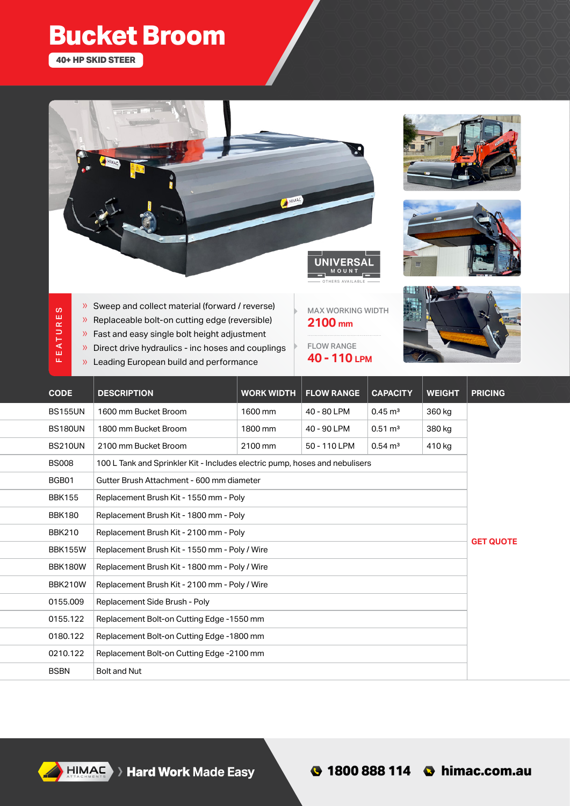## **Bucket Broom**

**40+ HP SKID STEER**







- FEATURES FE ATURES
- » Sweep and collect material (forward / reverse)
- » Replaceable bolt-on cutting edge (reversible)
- » Fast and easy single bolt height adjustment
- » Direct drive hydraulics inc hoses and couplings
- » Leading European build and performance

MAX WORKING WIDTH **2100 mm**

FLOW RANGE **40 - 110 LPM**



| <b>CODE</b>    | <b>DESCRIPTION</b>                                                          | <b>WORK WIDTH</b> | <b>FLOW RANGE</b> | <b>CAPACITY</b>    | <b>WEIGHT</b> | <b>PRICING</b>   |
|----------------|-----------------------------------------------------------------------------|-------------------|-------------------|--------------------|---------------|------------------|
| <b>BS155UN</b> | 1600 mm Bucket Broom                                                        | 1600 mm           | 40 - 80 LPM       | $0.45 \text{ m}^3$ | 360 kg        |                  |
| <b>BS180UN</b> | 1800 mm Bucket Broom                                                        | 1800 mm           | 40 - 90 LPM       | $0.51 \text{ m}^3$ | 380 kg        |                  |
| <b>BS210UN</b> | 2100 mm Bucket Broom                                                        | 2100 mm           | 50 - 110 LPM      | $0.54 \text{ m}^3$ | 410 kg        |                  |
| <b>BS008</b>   | 100 L Tank and Sprinkler Kit - Includes electric pump, hoses and nebulisers |                   |                   |                    |               |                  |
| BGB01          | Gutter Brush Attachment - 600 mm diameter                                   |                   |                   |                    |               |                  |
| <b>BBK155</b>  | Replacement Brush Kit - 1550 mm - Poly                                      |                   |                   |                    |               |                  |
| <b>BBK180</b>  | Replacement Brush Kit - 1800 mm - Poly                                      |                   |                   |                    |               |                  |
| <b>BBK210</b>  | Replacement Brush Kit - 2100 mm - Poly                                      |                   |                   |                    |               |                  |
| <b>BBK155W</b> | Replacement Brush Kit - 1550 mm - Poly / Wire                               |                   |                   |                    |               | <b>GET QUOTE</b> |
| <b>BBK180W</b> | Replacement Brush Kit - 1800 mm - Poly / Wire                               |                   |                   |                    |               |                  |
| <b>BBK210W</b> | Replacement Brush Kit - 2100 mm - Poly / Wire                               |                   |                   |                    |               |                  |
| 0155.009       | Replacement Side Brush - Poly                                               |                   |                   |                    |               |                  |
| 0155.122       | Replacement Bolt-on Cutting Edge -1550 mm                                   |                   |                   |                    |               |                  |
| 0180.122       | Replacement Bolt-on Cutting Edge -1800 mm                                   |                   |                   |                    |               |                  |
| 0210.122       | Replacement Bolt-on Cutting Edge -2100 mm                                   |                   |                   |                    |               |                  |
| <b>BSBN</b>    | <b>Bolt and Nut</b>                                                         |                   |                   |                    |               |                  |

HIMAC >> Hard Work Made Easy